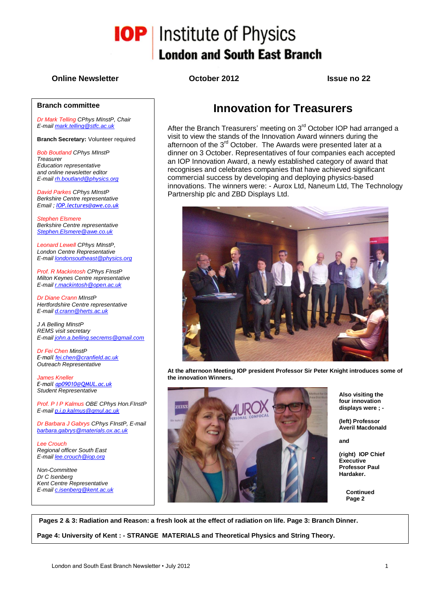

#### **Branch committee**

*Dr Mark Telling CPhys MInstP, Chair E-mai[l mark.telling@stfc.ac.uk](mailto:mark.telling@stfc.ac.uk)*

**Branch Secretary:** Volunteer required

*Bob Boutland CPhys MInstP Treasurer Education representative and online newsletter editor E-mai[l rh.boutland@physics.org](mailto:rh.boutland@physics.org)*

*David Parkes CPhys MInstP Berkshire Centre representative Email ; [IOP.lectures@awe.co.uk](mailto:IOP.lectures@awe.co.uk)*

*Stephen Elsmere Berkshire Centre representative [Stephen.Elsmere@awe.co.uk](mailto:Stephen.Elsmere@awe.co.uk)*

*Leonard Lewell CPhys MInstP, London Centre Representative E-mai[l londonsoutheast@physics.org](mailto:londonsoutheast@physics.org)*

*Prof. R Mackintosh CPhys FInstP Milton Keynes Centre representative E-mai[l r.mackintosh@open.ac.uk](mailto:r.mackintosh@open.ac.uk)*

*Dr Diane Crann MInstP Hertfordshire Centre representative E-mai[l d.crann@herts.ac.uk](mailto:d.crann@herts.ac.uk)*

*J A Belling MInstP REMS visit secretary E-mai[l john.a.belling.secrems@gmail.com](mailto:john.a.belling.secrems@gmail.com)*

*Dr Fei Chen MinstP E-mail [fei.chen@cranfield.ac.uk](mailto:fei.chen@cranfield.ac.uk) Outreach Representative*

*James Kneller E-mail [ap09010@QMUL.ac.uk](mailto:ap09010@QMUL.ac.uk) Student Representative*

*Prof. P I P Kalmus OBE CPhys Hon.FInstP E-mai[l p.i.p.kalmus@qmul.ac.uk](mailto:p.i.p.kalmus@qmul.ac.uk)*

*Dr Barbara J Gabrys CPhys FInstP, E-mail [barbara.gabrys@materials.ox.ac.uk](mailto:barbara.gabrys@materials.ox.ac.uk)*

*Lee Crouch Regional officer South East E-mai[l lee.crouch@iop.org](mailto:lee.crouch@iop.org)*

*Non-Committee Dr C Isenberg Kent Centre Representative E-mai[l c.isenberg@kent.ac.uk](mailto:c.isenberg@kent.ac.uk)*

**Online Newsletter October 2012 Issue no 22**

**London and South East Branch** 

**IOP** Institute of Physics

## **Innovation for Treasurers**

After the Branch Treasurers' meeting on 3<sup>rd</sup> October IOP had arranged a visit to view the stands of the Innovation Award winners during the afternoon of the 3<sup>rd</sup> October. The Awards were presented later at a dinner on 3 October. Representatives of four companies each accepted an IOP Innovation Award, a newly established category of award that recognises and celebrates companies that have achieved significant commercial success by developing and deploying physics-based innovations. The winners were: - Aurox Ltd, Naneum Ltd, The Technology Partnership plc and ZBD Displays Ltd.



**At the afternoon Meeting IOP president Professor Sir Peter Knight introduces some of the innovation Winners.**



**Also visiting the four innovation displays were ; -**

**(left) Professor Averil Macdonald**

**and**

**(right) IOP Chief Executive Professor Paul Hardaker.**

> **Continued Page 2**

**Pages 2 & 3: Radiation and Reason: a fresh look at the effect of radiation on life. Page 3: Branch Dinner.** 

**Page 4: University of Kent : - STRANGE MATERIALS and Theoretical Physics and String Theory.**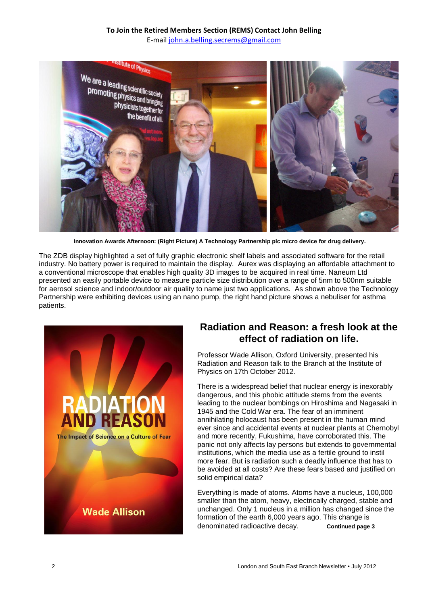

**Innovation Awards Afternoon: (Right Picture) A Technology Partnership plc micro device for drug delivery.**

The ZDB display highlighted a set of fully graphic electronic shelf labels and associated software for the retail industry. No battery power is required to maintain the display. Aurex was displaying an affordable attachment to a conventional microscope that enables high quality 3D images to be acquired in real time. Naneum Ltd presented an easily portable device to measure particle size distribution over a range of 5nm to 500nm suitable for aerosol science and indoor/outdoor air quality to name just two applications. As shown above the Technology Partnership were exhibiting devices using an nano pump, the right hand picture shows a nebuliser for asthma patients.



### **Radiation and Reason: a fresh look at the effect of radiation on life.**

Professor Wade Allison, Oxford University, presented his Radiation and Reason talk to the Branch at the Institute of Physics on 17th October 2012.

There is a widespread belief that nuclear energy is inexorably dangerous, and this phobic attitude stems from the events leading to the nuclear bombings on Hiroshima and Nagasaki in 1945 and the Cold War era. The fear of an imminent annihilating holocaust has been present in the human mind ever since and accidental events at nuclear plants at Chernobyl and more recently, Fukushima, have corroborated this. The panic not only affects lay persons but extends to governmental institutions, which the media use as a fertile ground to instil more fear. But is radiation such a deadly influence that has to be avoided at all costs? Are these fears based and justified on solid empirical data?

Everything is made of atoms. Atoms have a nucleus, 100,000 smaller than the atom, heavy, electrically charged, stable and unchanged. Only 1 nucleus in a million has changed since the formation of the earth 6,000 years ago. This change is denominated radioactive decay. **Continued page 3**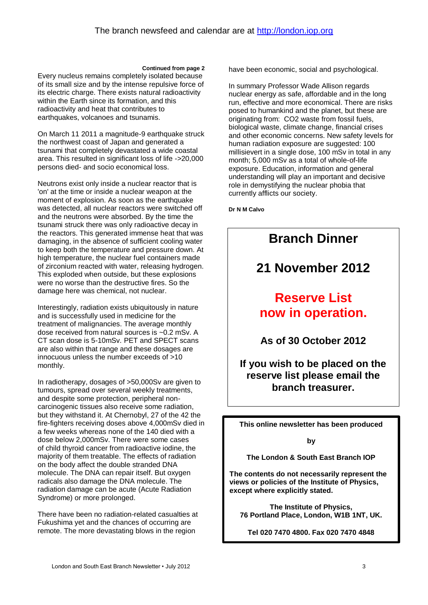**Continued from page 2**

Every nucleus remains completely isolated because of its small size and by the intense repulsive force of its electric charge. There exists natural radioactivity within the Earth since its formation, and this radioactivity and heat that contributes to earthquakes, volcanoes and tsunamis.

On March 11 2011 a magnitude-9 earthquake struck the northwest coast of Japan and generated a tsunami that completely devastated a wide coastal area. This resulted in significant loss of life ->20,000 persons died- and socio economical loss.

Neutrons exist only inside a nuclear reactor that is 'on' at the time or inside a nuclear weapon at the moment of explosion. As soon as the earthquake was detected, all nuclear reactors were switched off and the neutrons were absorbed. By the time the tsunami struck there was only radioactive decay in the reactors. This generated immense heat that was damaging, in the absence of sufficient cooling water to keep both the temperature and pressure down. At high temperature, the nuclear fuel containers made of zirconium reacted with water, releasing hydrogen. This exploded when outside, but these explosions were no worse than the destructive fires. So the damage here was chemical, not nuclear.

Interestingly, radiation exists ubiquitously in nature and is successfully used in medicine for the treatment of malignancies. The average monthly dose received from natural sources is ~0.2 mSv. A CT scan dose is 5-10mSv. PET and SPECT scans are also within that range and these dosages are innocuous unless the number exceeds of >10 monthly.

In radiotherapy, dosages of >50,000Sv are given to tumours, spread over several weekly treatments, and despite some protection, peripheral noncarcinogenic tissues also receive some radiation, but they withstand it. At Chernobyl, 27 of the 42 the fire-fighters receiving doses above 4,000mSv died in a few weeks whereas none of the 140 died with a dose below 2,000mSv. There were some cases of child thyroid cancer from radioactive iodine, the majority of them treatable. The effects of radiation on the body affect the double stranded DNA molecule. The DNA can repair itself. But oxygen radicals also damage the DNA molecule. The radiation damage can be acute (Acute Radiation Syndrome) or more prolonged.

There have been no radiation-related casualties at Fukushima yet and the chances of occurring are remote. The more devastating blows in the region

have been economic, social and psychological.

In summary Professor Wade Allison regards nuclear energy as safe, affordable and in the long run, effective and more economical. There are risks posed to humankind and the planet, but these are originating from: CO2 waste from fossil fuels, biological waste, climate change, financial crises and other economic concerns. New safety levels for human radiation exposure are suggested: 100 millisievert in a single dose, 100 mSv in total in any month; 5,000 mSv as a total of whole-of-life exposure. Education, information and general understanding will play an important and decisive role in demystifying the nuclear phobia that currently afflicts our society.

**Dr N M Calvo**



**The Institute of Physics, 76 Portland Place, London, W1B 1NT, UK.**

**Tel 020 7470 4800. Fax 020 7470 4848**